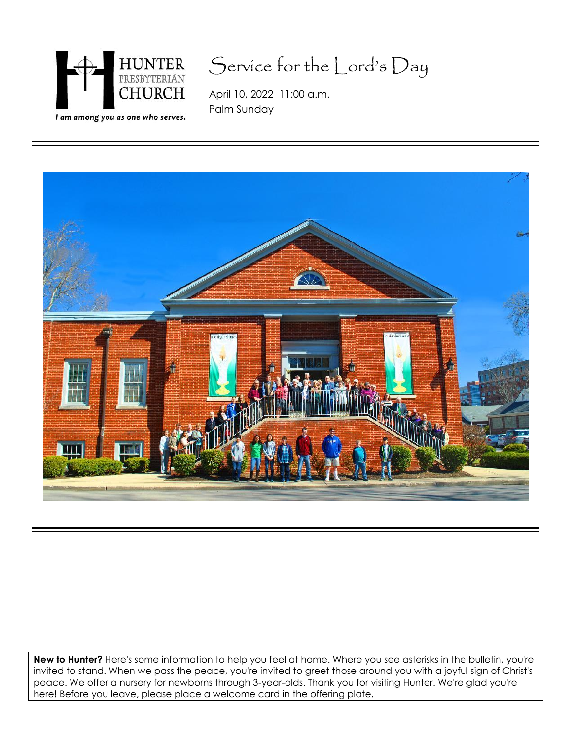

## Service for the Lord's Day

April 10, 2022 11:00 a.m. Palm Sunday



**New to Hunter?** Here's some information to help you feel at home. Where you see asterisks in the bulletin, you're invited to stand. When we pass the peace, you're invited to greet those around you with a joyful sign of Christ's peace. We offer a nursery for newborns through 3-year-olds. Thank you for visiting Hunter. We're glad you're here! Before you leave, please place a welcome card in the offering plate.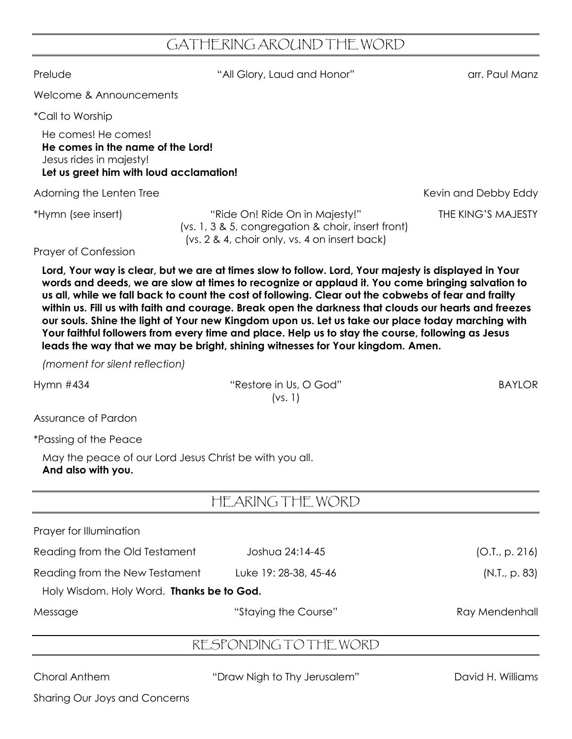## GATHERING AROUND THE WORD

Prelude The Controller Controller ("All Glory, Laud and Honor" arr. Paul Manz

Welcome & Announcements

\*Call to Worship

He comes! He comes! **He comes in the name of the Lord!** Jesus rides in majesty! **Let us greet him with loud acclamation!**

Adorning the Lenten Tree **Kevin and Debby Eddy** Adorning the Lenten Tree Kevin and Debby Eddy

\*Hymn (see insert) "Ride On! Ride On in Majesty!" THE KING'S MAJESTY (vs. 1, 3 & 5, congregation & choir, insert front) (vs. 2 & 4, choir only, vs. 4 on insert back)

Prayer of Confession

**Lord, Your way is clear, but we are at times slow to follow. Lord, Your majesty is displayed in Your words and deeds, we are slow at times to recognize or applaud it. You come bringing salvation to us all, while we fall back to count the cost of following. Clear out the cobwebs of fear and frailty within us. Fill us with faith and courage. Break open the darkness that clouds our hearts and freezes our souls. Shine the light of Your new Kingdom upon us. Let us take our place today marching with Your faithful followers from every time and place. Help us to stay the course, following as Jesus leads the way that we may be bright, shining witnesses for Your kingdom. Amen.**

*(moment for silent reflection)*

Hymn #434 **Example 2018** The Music Washington Wilson Cod<sup>"</sup> BAYLOR (vs. 1)

Assurance of Pardon

\*Passing of the Peace

May the peace of our Lord Jesus Christ be with you all. **And also with you.**

|                                           | HEARING THE WORD       |                |
|-------------------------------------------|------------------------|----------------|
| Prayer for Illumination                   |                        |                |
| Reading from the Old Testament            | Joshua 24:14-45        | (O.I., p. 216) |
| Reading from the New Testament            | Luke 19: 28-38, 45-46  | (N.I., p. 83)  |
| Holy Wisdom. Holy Word. Thanks be to God. |                        |                |
| Message                                   | "Staying the Course"   | Ray Mendenhall |
|                                           | RESPONDING TO THE WORD |                |
|                                           |                        |                |

Choral Anthem "Draw Nigh to Thy Jerusalem" David H. Williams

Sharing Our Joys and Concerns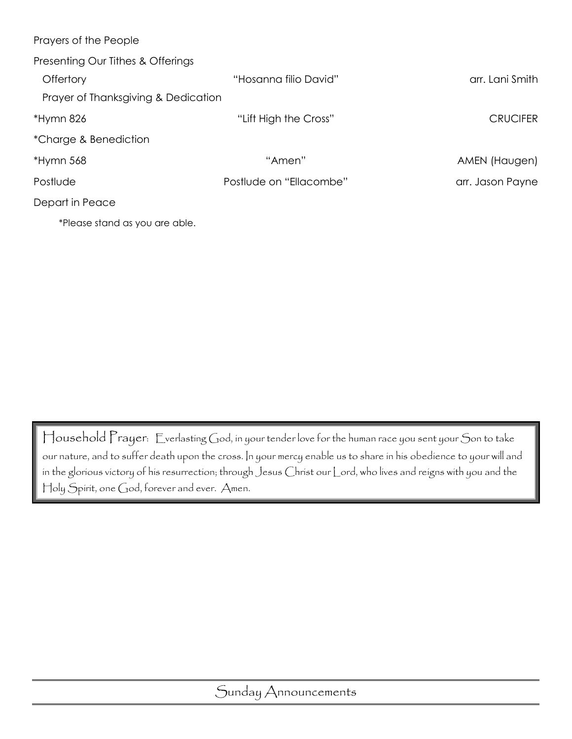| Prayers of the People               |                         |                  |
|-------------------------------------|-------------------------|------------------|
| Presenting Our Tithes & Offerings   |                         |                  |
| Offertory                           | "Hosanna filio David"   | arr. Lani Smith  |
| Prayer of Thanksgiving & Dedication |                         |                  |
| *Hymn 826                           | "Lift High the Cross"   | <b>CRUCIFER</b>  |
| *Charge & Benediction               |                         |                  |
| *Hymn 568                           | "Amen"                  | AMEN (Haugen)    |
| Postlude                            | Postlude on "Ellacombe" | arr. Jason Payne |
| Depart in Peace                     |                         |                  |
| *Please stand as you are able.      |                         |                  |

Household Prayer: Everlasting God, in your tender love for the human race you sent your Son to take our nature, and to suffer death upon the cross. In your mercy enable us to share in his obedience to your will and in the glorious victory of his resurrection; through Jesus Christ our Lord, who lives and reigns with you and the Holy Spirit, one God, forever and ever. Amen.